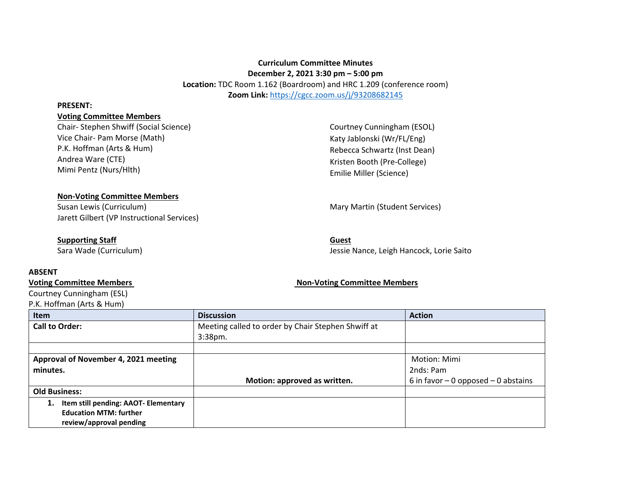# **Curriculum Committee Minutes December 2, 2021 3:30 pm – 5:00 pm Location:** TDC Room 1.162 (Boardroom) and HRC 1.209 (conference room) **Zoom Link:** <https://cgcc.zoom.us/j/93208682145>

#### **PRESENT:**

### **Voting Committee Members**

Chair- Stephen Shwiff (Social Science) Vice Chair- Pam Morse (Math) P.K. Hoffman (Arts & Hum) Andrea Ware (CTE) Mimi Pentz (Nurs/Hlth)

Courtney Cunningham (ESOL) Katy Jablonski (Wr/FL/Eng) Rebecca Schwartz (Inst Dean) Kristen Booth (Pre-College) Emilie Miller (Science)

### **Non-Voting Committee Members**

Susan Lewis (Curriculum) and Martin (Martin (Student Services) Martin (Student Services) Jarett Gilbert (VP Instructional Services)

## **Supporting Staff**

Sara Wade (Curriculum)

## **ABSENT**

Courtney Cunningham (ESL)

P.K. Hoffman (Arts & Hum)

**Guest** Jessie Nance, Leigh Hancock, Lorie Saito

## **Voting Committee Members Non-Voting Committee Members**

| P.K. HOffman (Arts & Hum)                  |                                                    |                                       |  |  |
|--------------------------------------------|----------------------------------------------------|---------------------------------------|--|--|
| <b>Item</b>                                | <b>Discussion</b>                                  | <b>Action</b>                         |  |  |
| <b>Call to Order:</b>                      | Meeting called to order by Chair Stephen Shwiff at |                                       |  |  |
|                                            | $3:38$ pm.                                         |                                       |  |  |
|                                            |                                                    |                                       |  |  |
| Approval of November 4, 2021 meeting       |                                                    | Motion: Mimi                          |  |  |
| minutes.                                   |                                                    | 2nds: Pam                             |  |  |
|                                            | Motion: approved as written.                       | 6 in favor $-0$ opposed $-0$ abstains |  |  |
| <b>Old Business:</b>                       |                                                    |                                       |  |  |
| Item still pending: AAOT- Elementary<br>1. |                                                    |                                       |  |  |
| <b>Education MTM: further</b>              |                                                    |                                       |  |  |
| review/approval pending                    |                                                    |                                       |  |  |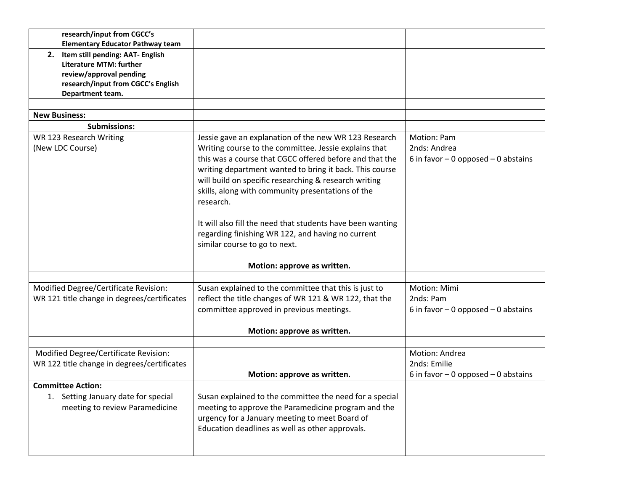| research/input from CGCC's<br><b>Elementary Educator Pathway team</b>                                                                                      |                                                                                                                                                                                                                                                                                                                                                                                                                                                                                                                     |                                                                         |
|------------------------------------------------------------------------------------------------------------------------------------------------------------|---------------------------------------------------------------------------------------------------------------------------------------------------------------------------------------------------------------------------------------------------------------------------------------------------------------------------------------------------------------------------------------------------------------------------------------------------------------------------------------------------------------------|-------------------------------------------------------------------------|
| 2. Item still pending: AAT- English<br><b>Literature MTM: further</b><br>review/approval pending<br>research/input from CGCC's English<br>Department team. |                                                                                                                                                                                                                                                                                                                                                                                                                                                                                                                     |                                                                         |
| <b>New Business:</b>                                                                                                                                       |                                                                                                                                                                                                                                                                                                                                                                                                                                                                                                                     |                                                                         |
| <b>Submissions:</b>                                                                                                                                        |                                                                                                                                                                                                                                                                                                                                                                                                                                                                                                                     |                                                                         |
| WR 123 Research Writing<br>(New LDC Course)                                                                                                                | Jessie gave an explanation of the new WR 123 Research<br>Writing course to the committee. Jessie explains that<br>this was a course that CGCC offered before and that the<br>writing department wanted to bring it back. This course<br>will build on specific researching & research writing<br>skills, along with community presentations of the<br>research.<br>It will also fill the need that students have been wanting<br>regarding finishing WR 122, and having no current<br>similar course to go to next. | Motion: Pam<br>2nds: Andrea<br>6 in favor $-0$ opposed $-0$ abstains    |
|                                                                                                                                                            | Motion: approve as written.                                                                                                                                                                                                                                                                                                                                                                                                                                                                                         |                                                                         |
| Modified Degree/Certificate Revision:<br>WR 121 title change in degrees/certificates                                                                       | Susan explained to the committee that this is just to<br>reflect the title changes of WR 121 & WR 122, that the<br>committee approved in previous meetings.<br>Motion: approve as written.                                                                                                                                                                                                                                                                                                                          | Motion: Mimi<br>2nds: Pam<br>6 in favor $-0$ opposed $-0$ abstains      |
| Modified Degree/Certificate Revision:<br>WR 122 title change in degrees/certificates                                                                       | Motion: approve as written.                                                                                                                                                                                                                                                                                                                                                                                                                                                                                         | Motion: Andrea<br>2nds: Emilie<br>6 in favor $-0$ opposed $-0$ abstains |
| <b>Committee Action:</b>                                                                                                                                   |                                                                                                                                                                                                                                                                                                                                                                                                                                                                                                                     |                                                                         |
| 1. Setting January date for special<br>meeting to review Paramedicine                                                                                      | Susan explained to the committee the need for a special<br>meeting to approve the Paramedicine program and the<br>urgency for a January meeting to meet Board of<br>Education deadlines as well as other approvals.                                                                                                                                                                                                                                                                                                 |                                                                         |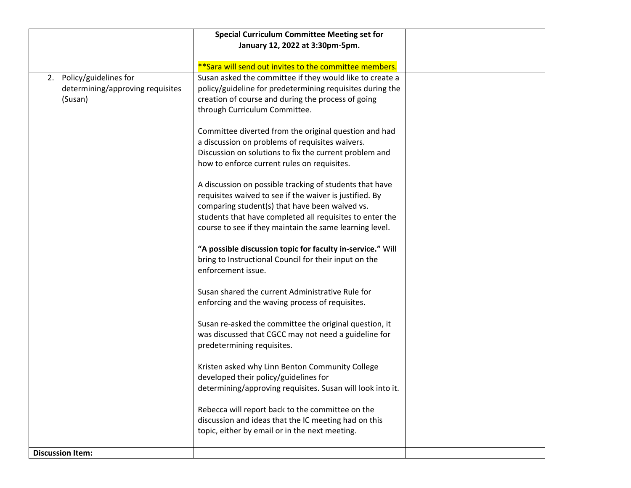|                                  | <b>Special Curriculum Committee Meeting set for</b>                                                       |  |
|----------------------------------|-----------------------------------------------------------------------------------------------------------|--|
|                                  | January 12, 2022 at 3:30pm-5pm.                                                                           |  |
|                                  | ** Sara will send out invites to the committee members.                                                   |  |
| Policy/guidelines for<br>2.      | Susan asked the committee if they would like to create a                                                  |  |
| determining/approving requisites | policy/guideline for predetermining requisites during the                                                 |  |
| (Susan)                          | creation of course and during the process of going                                                        |  |
|                                  | through Curriculum Committee.                                                                             |  |
|                                  | Committee diverted from the original question and had                                                     |  |
|                                  | a discussion on problems of requisites waivers.                                                           |  |
|                                  | Discussion on solutions to fix the current problem and                                                    |  |
|                                  | how to enforce current rules on requisites.                                                               |  |
|                                  |                                                                                                           |  |
|                                  | A discussion on possible tracking of students that have                                                   |  |
|                                  | requisites waived to see if the waiver is justified. By<br>comparing student(s) that have been waived vs. |  |
|                                  | students that have completed all requisites to enter the                                                  |  |
|                                  | course to see if they maintain the same learning level.                                                   |  |
|                                  |                                                                                                           |  |
|                                  | "A possible discussion topic for faculty in-service." Will                                                |  |
|                                  | bring to Instructional Council for their input on the                                                     |  |
|                                  | enforcement issue.                                                                                        |  |
|                                  | Susan shared the current Administrative Rule for                                                          |  |
|                                  | enforcing and the waving process of requisites.                                                           |  |
|                                  |                                                                                                           |  |
|                                  | Susan re-asked the committee the original question, it                                                    |  |
|                                  | was discussed that CGCC may not need a guideline for                                                      |  |
|                                  | predetermining requisites.                                                                                |  |
|                                  | Kristen asked why Linn Benton Community College                                                           |  |
|                                  | developed their policy/guidelines for                                                                     |  |
|                                  | determining/approving requisites. Susan will look into it.                                                |  |
|                                  |                                                                                                           |  |
|                                  | Rebecca will report back to the committee on the                                                          |  |
|                                  | discussion and ideas that the IC meeting had on this                                                      |  |
|                                  | topic, either by email or in the next meeting.                                                            |  |
|                                  |                                                                                                           |  |
| <b>Discussion Item:</b>          |                                                                                                           |  |